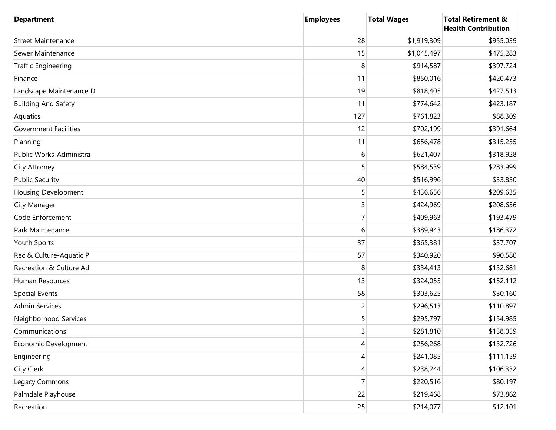| <b>Department</b>            | <b>Employees</b> | <b>Total Wages</b> | <b>Total Retirement &amp;</b><br><b>Health Contribution</b> |
|------------------------------|------------------|--------------------|-------------------------------------------------------------|
| <b>Street Maintenance</b>    | 28               | \$1,919,309        | \$955,039                                                   |
| Sewer Maintenance            | 15               | \$1,045,497        | \$475,283                                                   |
| <b>Traffic Engineering</b>   | 8                | \$914,587          | \$397,724                                                   |
| Finance                      | 11               | \$850,016          | \$420,473                                                   |
| Landscape Maintenance D      | 19               | \$818,405          | \$427,513                                                   |
| <b>Building And Safety</b>   | 11               | \$774,642          | \$423,187                                                   |
| Aquatics                     | 127              | \$761,823          | \$88,309                                                    |
| <b>Government Facilities</b> | 12               | \$702,199          | \$391,664                                                   |
| Planning                     | 11               | \$656,478          | \$315,255                                                   |
| Public Works-Administra      | 6                | \$621,407          | \$318,928                                                   |
| City Attorney                | 5                | \$584,539          | \$283,999                                                   |
| <b>Public Security</b>       | 40               | \$516,996          | \$33,830                                                    |
| <b>Housing Development</b>   | 5                | \$436,656          | \$209,635                                                   |
| City Manager                 | 3                | \$424,969          | \$208,656                                                   |
| Code Enforcement             | 7                | \$409,963          | \$193,479                                                   |
| Park Maintenance             | 6                | \$389,943          | \$186,372                                                   |
| Youth Sports                 | 37               | \$365,381          | \$37,707                                                    |
| Rec & Culture-Aquatic P      | 57               | \$340,920          | \$90,580                                                    |
| Recreation & Culture Ad      | 8                | \$334,413          | \$132,681                                                   |
| Human Resources              | 13               | \$324,055          | \$152,112                                                   |
| <b>Special Events</b>        | 58               | \$303,625          | \$30,160                                                    |
| <b>Admin Services</b>        | $\overline{c}$   | \$296,513          | \$110,897                                                   |
| Neighborhood Services        | 5                | \$295,797          | \$154,985                                                   |
| Communications               | 3                | \$281,810          | \$138,059                                                   |
| Economic Development         | 4                | \$256,268          | \$132,726                                                   |
| Engineering                  | 4                | \$241,085          | \$111,159                                                   |
| City Clerk                   | 4                | \$238,244          | \$106,332                                                   |
| Legacy Commons               | $\overline{7}$   | \$220,516          | \$80,197                                                    |
| Palmdale Playhouse           | 22               | \$219,468          | \$73,862                                                    |
| Recreation                   | 25               | \$214,077          | \$12,101                                                    |